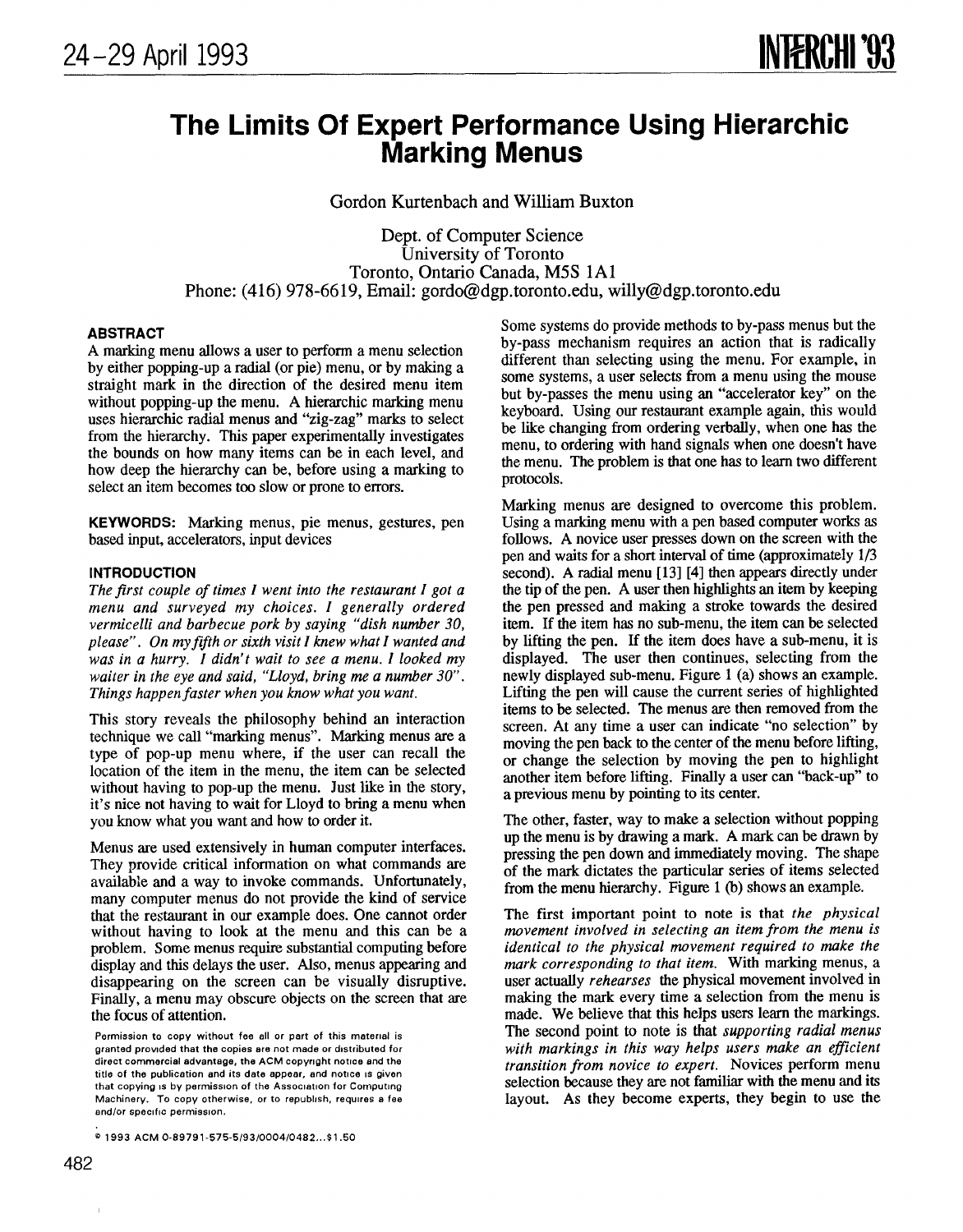# The Limits Of Expert Performance Using Hierarchic Marking Menus

Gordon Kurtenbach and William Buxton

Dept. of Computer Science University of Toronto Toronto, Ontario Canada, M5S lA1 Phone: (416) 978-6619, Email: gordo@dgp.toronto. edu, willy@dgp.toronto.edu

### ABSTRACT

A marking menu allows a user to perform a menu selection by either popping-up a radial (or pie) menu, or by making a straight mark in the direction of the desired menu item without popping-up the menu. A hierarchic marking menu uses hierarchic radial menus and "zig-zag" marks to select from the hierarchy. This paper experimentally investigates the bounds on how many items can be in each level, and how deep the hierarchy can be, before using a marking to select an item becomes too slow or prone to errors.

KEYWORDS: Marking menus, pie menus, gestures, pen based input, accelerators, input devices

### INTRODUCTION

The first couple of times I went into the restaurant I got a menu and surveyed my choices. I generally ordered vermicelli and barbecue pork by saying "dish number 30, please". On my fifth or sixth visit I knew what I wanted and was in a hurry. I didn't wait to see a menu. I looked my waiter in the eye and said, "Lloyd, bring me a number 30". Things happen faster when you know what you want.

This story reveals the philosophy behind an interaction technique we call "marking menus". Marking menus are a type of pop-up menu where, if the user can recall the location of the item in the menu, the item can be selected without having to pop-up the menu. Just like in the story, it's nice not having to wait for Lloyd to bring a menu when you know what you want and how to order it.

Menus are used extensively in human computer interfaces. They provide critical information on what commands are available and a way to invoke commands. Unfortunately, many computer menus do not provide the kind of service that the restaurant in our example does. One cannot order without having to look at the menu and this can be a problem. Some menus require substantial computing before display and this delays the user. Also, menus appearing and disappearing on the screen can be visually disruptive. Finally, a menu may obscure objects on the screen that are the focus of attention.

Permission to copv without fee all or part of this material is granted provided that the copies are not made or distributed for direct commercial advantage, the ACM copyright notice and the title of the publication and its date appear, and notice is given that copying is by permission of the Association for Computing Machinery. To copy otherwise, or to republish, requires a fee and/or specific permission.

Some systems do provide methods to by-pass menus but the by-pass mechanism requires an action that is radically different than selecting using the menu. For example, in some systems, a user selects from a menu using the mouse but by-passes the menu using an "accelerator key" on the keyboard. Using our restaurant example again, this would be like changing from ordering verbally, when one has the menu, to ordering with hand signals when one doesn't have the menu. The problem is that one has to learn two different protocols.

Marking menus are designed to overcome this problem. Using a marking menu with a pen based computer works as follows. A novice user presses down on the screen with the pen and waits for a short interval of time (approximately 1/3 second). A radial menu [13] [4] then appears directly under the tip of the pen. A user then highlights an item by keeping the pen pressed and making a stroke towards the desired item. If the item has no sub-menu, the item can be selected by lifting the pen. If the item does have a sub-menu, it is displayed. The user then continues, selecting from the newly displayed sub-menu. Figure 1 (a) shows an example. Lifting the pen will cause the current series of highlighted items to be selected. The menus are then removed from the screen. At any time a user can indicate "no selection" by moving the pen back to the center of the menu before lifting, or change the selection by moving the pen to highlight another item before lifting. Finally a user can "back-up" to a previous menu by pointing to its center.

The other, faster, way to make a selection without popping up the menu is by drawing a mark. A mark can be drawn by pressing the pen down and immediately moving. The shape of the mark dictates the particular series of items selected from the menu hierarchy. Figure 1 (b) shows an example.

The first important point to note is that the physical movement involved in selecting an item from the menu is identical to the physical movement required to make the mark corresponding to that item. With marking menus, a user actually rehearses the physical movement involved in making the mark every time a selection from the menu is made. We believe that this helps users learn the markings. The second point to note is that supporting radial menus with markings in this way helps users make an efficient transition from novice to expert. Novices perform menu selection because they are not familiar with the menu and its layout. As they become experts, they begin to use the

e 1993 ACM 0-89791 -575 -5/93 /0004 /04 S2... \$1 .50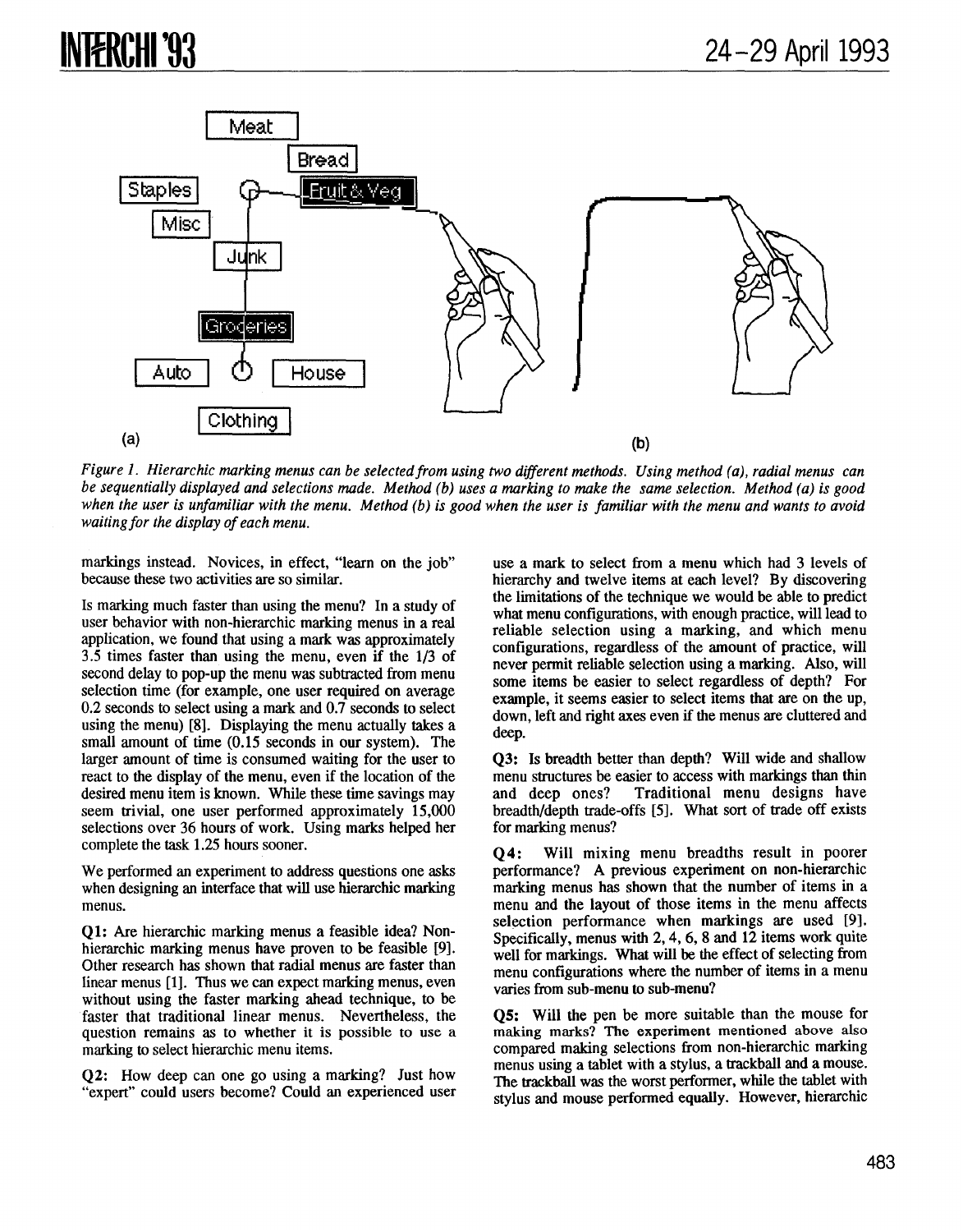



Figure 1. Hierarchic marking menus can be selected from using two different methods. Using method (a), radial menus can be sequentially displayed and selections made. Method (b) uses a marking to make the same selection. Method (a) is good when the user is unfamiliar with the menu. Method  $(b)$  is good when the user is familiar with the menu and wants to avoid waiting for the display of each menu.

markings instead. Novices, in effect, "learn on the job" because these two activities are so similar.

Is marking much faster than using the menu? In a study of user behavior with non-hierarchic marking menus in a real application, we found that using a mark was approximately 3.5 times faster than using the menu, even if the 1/3 of second delay to pop-up the menu was subtracted from menu selection time (for example, one user required on average 0.2 seconds to select using a mark and 0.7 seconds to select using the menu) [8]. Displaying the menu actually takes a small amount of time (O.15 seconds in our system). The larger amount of time is consumed waiting for the user to react to the display of the menu, even if the location of the desired menu item is known. While these time savings may seem trivial, one user performed approximately 15,000 selections over 36 hours of work. Using marks helped her complete the task 1.25 hours sooner.

We performed an experiment to address questions one asks when designing an interface that will use hierarchic marking menus.

Ql: Are hierarchic marking menus a feasible idea? Nonhierarchic marking menus have proven to be feasible [9]. Other research has shown that radial menus are faster than linear menus [1]. Thus we can expect marking menus, even without using the faster marking ahead technique, to be faster that traditional linear menus. Nevertheless, the question remains as to whether it is possible to use a marking to select hierarchic menu items.

Q2: How deep can one go using a marking? Just how "expert" could users become? Could an experienced user use a mark to select from a menu which had 3 levels of hierarchy and twelve items at each level? By discovering the limitations of the technique we would be able to predict what menu configurations, with enough practice, will lead to reliable selection using a marking, and which menu configurations, regardless of the amount of practice, will never permit reliable selection using a marking. Also, will some items be easier to select regardless of depth? For example, it seems easier to select items that are on the up, down, left and right axes even if the menus are cluttered and deep.

Q3: Is breadth better than depth? Will wide and shallow menu structures be easier to access with markings than thin and deep ones? Traditional menu designs have breadth/depth trade-offs [5]. What sort of trade off exists for marking menus?

Q4: Will mixing menu breadths result in poorer performance? A previous experiment on non-hierarchic marking menus has shown that the number of items in a menu and the layout of those items in the menu affects selection performance when markings are used [9]. Specifically, menus with 2,4,6, 8 and 12 items work quite well for markings. What will be the effect of selecting from menu configurations where the number of items in a menu varies from sub-menu to sub-menu?

Q5: Will the pen be more suitable than the mouse for making marks? The experiment mentioned above also compared making selections from non-hierarchic marking menus using a tablet with a stylus, a trackball and a mouse. The trackball was the worst performer, while the tablet with stylus and mouse performed equally. However, hierarchic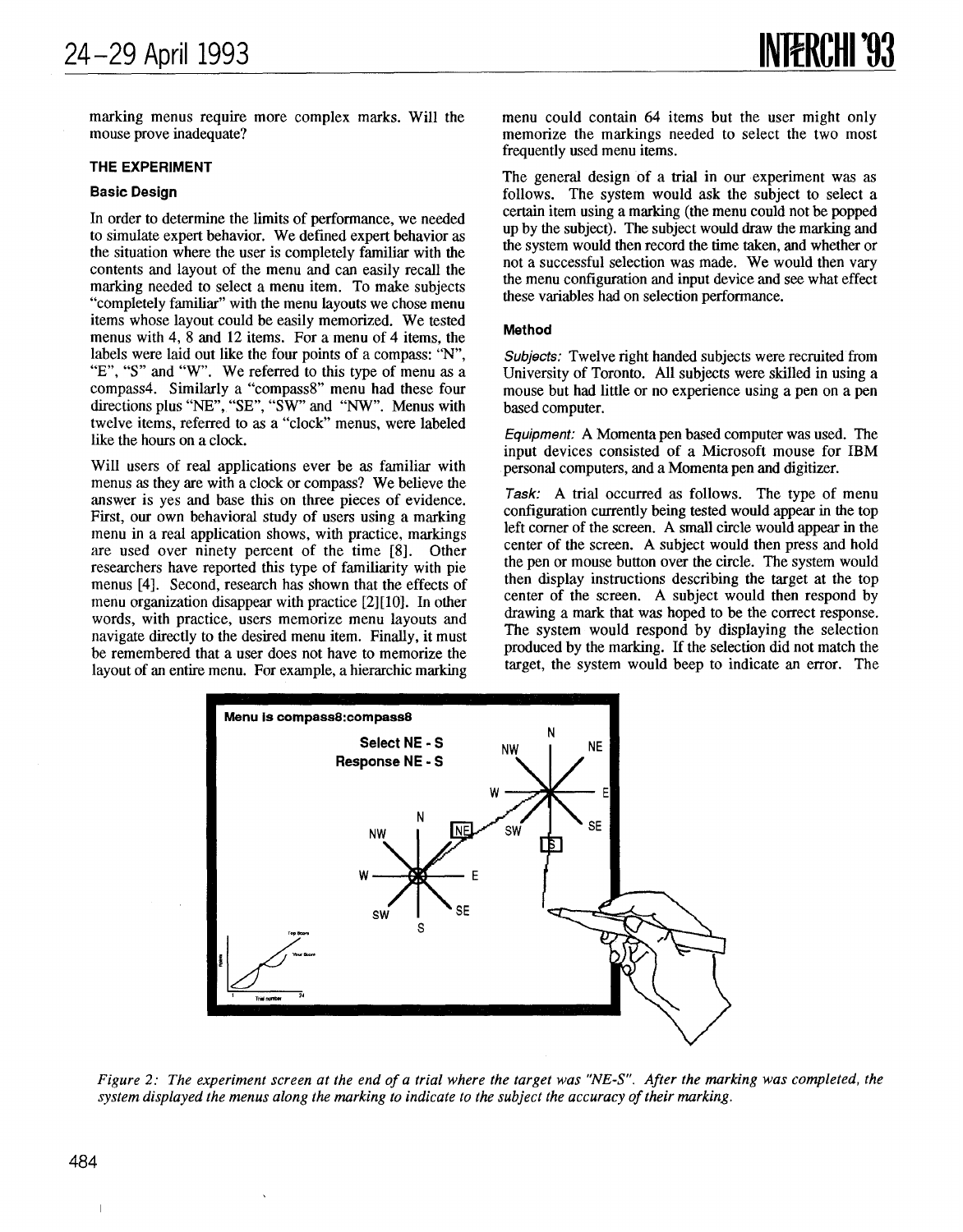marking menus require more complex marks. Will the mouse prove inadequate?

### THE EXPERIMENT

### Basic Design

In order to determine the limits of performance, we needed to simulate expert behavior. We defined expert behavior as the situation where the user is completely familiar with the contents and layout of the menu and can easily recall the marking needed to select a menu item. To make subjects "completely familiar" with the menu layouts we chose menu items whose layout could be easily memorized. We tested menus with 4, 8 and 12 items. For a menu of 4 items, the labels were laid out like the four points of a compass: "N", "E", "S" and "W'. We referred to this type of menu as a compass4. Similarly a "compass8" menu had these four directions plus "NE", "SE", "SW" and "NW". Menus with twelve items, referred to as a "clock" menus, were labeled like the hours on a clock.

Will users of real applications ever be as familiar with menus as they are with a clock or compass? We believe the answer is yes and base this on three pieces of evidence. First, our own behavioral study of users using a marking menu in a real application shows, with practice, markings are used over ninety percent of the time [8]. Other researchers have reported this type of familiarity with pie menus [4]. Second, research has shown that the effects of menu organization disappear with practice [2] [10]. In other words, with practice, users memorize menu layouts and navigate directly to the desired menu item. Finally, it must be remembered that a user does not have to memorize the layout of an entire menu. For example, a hierarchic marking menu could contain 64 items but the user might only memorize the markings needed to select the two most frequently used menu items.

The general design of a trial in our experiment was as follows. The system would ask the subject to select a certain item using a marking (the menu could not be popped up by the subject). The subject would draw the marking and the system would then record the time taken, and whether or not a successful selection was made. We would then vary the menu configuration and input device and see what effect these variables had on selection performance.

### Method

Subjects: Twelve right handed subjects were recruited from University of Toronto. All subjects were skilled in using a mouse but had little or no experience using a pen on a pen based computer.

Equipment: A Momenta pen based computer was used. The input devices consisted of a Microsoft mouse for IBM personal computers, and a Momenta pen and digitizer.

Task: A trial occurred as follows. The type of menu configuration currently being tested would appear in the top left comer of the screen. A small circle would appear in the center of the screen. A subject would then press and hold the pen or mouse button over the circle. The system would then display instructions describing the target at the top center of the screen. A subject would then respond by drawing a mark that was hoped to be the correct response. The system would respond by displaying the selection produced by the marking. If the selection did not match the target, the system would beep to indicate an error. The



Figure 2: The experiment screen at the end of a trial where the target was "NE-S". After the marking was completed, the system displayed the menus along the marking to indicate to the subject the accuracy of their marking.

 $\overline{\phantom{a}}$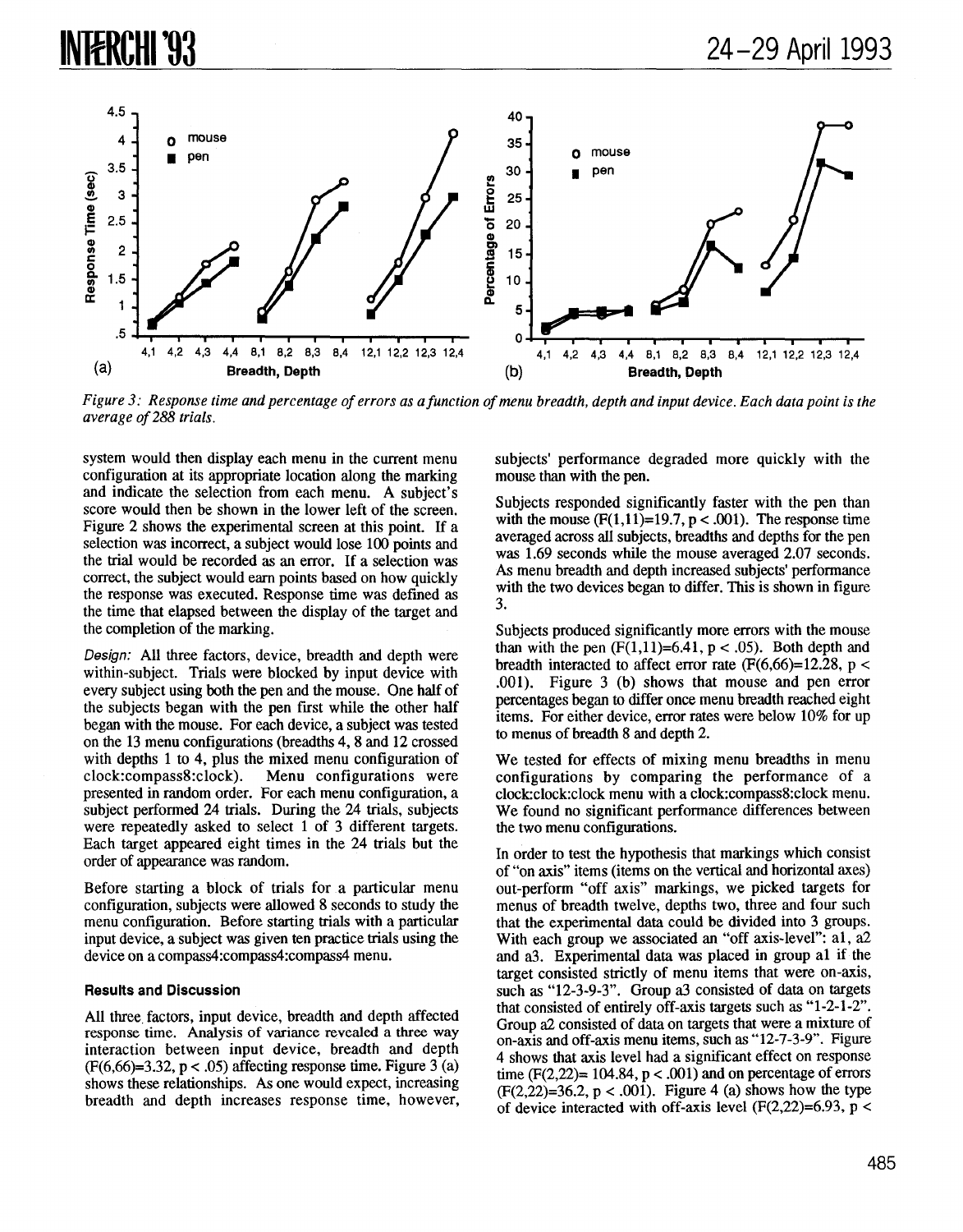

Figure 3: Response time and percentage of errors as a function of menu breadth, depth and input device. Each data point is the average of 288 trials.

system would then display each menu in the current menu configuration at its appropriate location along the marking and indicate the selection from each menu. A subject's score would then be shown in the lower left of the screen. Figure 2 shows the experimental screen at this point. If a selection was incorrect, a subject would lose 100 points and the trial would be recorded as an error. If a selection was correct, the subject would earn points based on how quickly the response was executed. Response time was defined as the time that elapsed between the display of the target and the completion of the marking.

Design: All three factors, device, breadth and depth were within-subject. Trials were blocked by input device with every subject using both the pen and the mouse. One half of the subjects began with the pen first while the other half began with the mouse. For each device, a subject was tested on the 13 menu configurations (breadths 4, 8 and 12 crossed with depths 1 to 4, plus the mixed menu configuration of clock: compass8:clock). Menu configurations were presented in random order. For each menu configuration, a subject performed 24 trials. During the 24 trials, subjects were repeatedly asked to select 1 of 3 different targets. Each target appeared eight times in the 24 trials but the order of appearance was random.

Before starting a block of trials for a particular menu configuration, subjects were allowed 8 seconds to study the menu configuration. Before starting trials with a particular input device, a subject was given ten practice trials using the device on a compass4:compass4:compass4 menu.

### Results and Discussion

All three factors, input device, breadth and depth affected response time. Analysis of variance revealed a three way interaction between input device, breadth and depth  $(F(6,66)=3.32, p < .05)$  affecting response time. Figure 3 (a) shows these relationships. As one would expect, increasing breadth and depth increases response time, however, subjects' performance degraded more quickly with the mouse than with the pen.

Subjects responded significantly faster with the pen than with the mouse  $(F(1,11)=19.7, p < .001)$ . The response time averaged across all subjects, breadths and depths for the pen was 1.69 seconds while the mouse averaged 2.07 seconds. As menu breadth and depth increased subjects' performance with the two devices began to differ. This is shown in figure 3.

Subjects produced significantly more errors with the mouse than with the pen  $(F(1,11)=6.41, p < .05)$ . Both depth and breadth interacted to affect error rate (F(6,66)=12.28, p < .00 1). Figure 3 (b) shows that mouse and pen error percentages began to differ once menu breadth reached eight items. For either device, error rates were below 10% for up to menus of breadth 8 and depth 2.

We tested for effects of mixing menu breadths in menu configurations by comparing the performance of a clock:clock:clock menu with a clock:compass8:clock menu. We found no significant performance differences between the two menu configurations.

In order to test the hypothesis that markings which consist of "on axis" items (items on the vertical and horizontal axes) out-perform "off axis" markings, we picked targets for menus of breadth twelve, depths two, three and four such that the experimental data could be divided into 3 groups. With each group we associated an "off axis-level": a1, a2 and a3. Experimental data was placed in group al if the target consisted strictly of menu items that were on-axis, such as "12-3-9-3". Group a3 consisted of data on targets that consisted of entirely off-axis targets such as "l-2-l-2". Group a2 consisted of data on targets that were a mixture of on-axis and off-axis menu items, such as "12-7-3-9". Figure 4 shows that axis level had a significant effect on response time  $(F(2,22)= 104.84, p < .001)$  and on percentage of errors  $(F(2,22)=36.2, p < .001)$ . Figure 4 (a) shows how the type of device interacted with off-axis level (F(2,22)=6.93,  $p$  <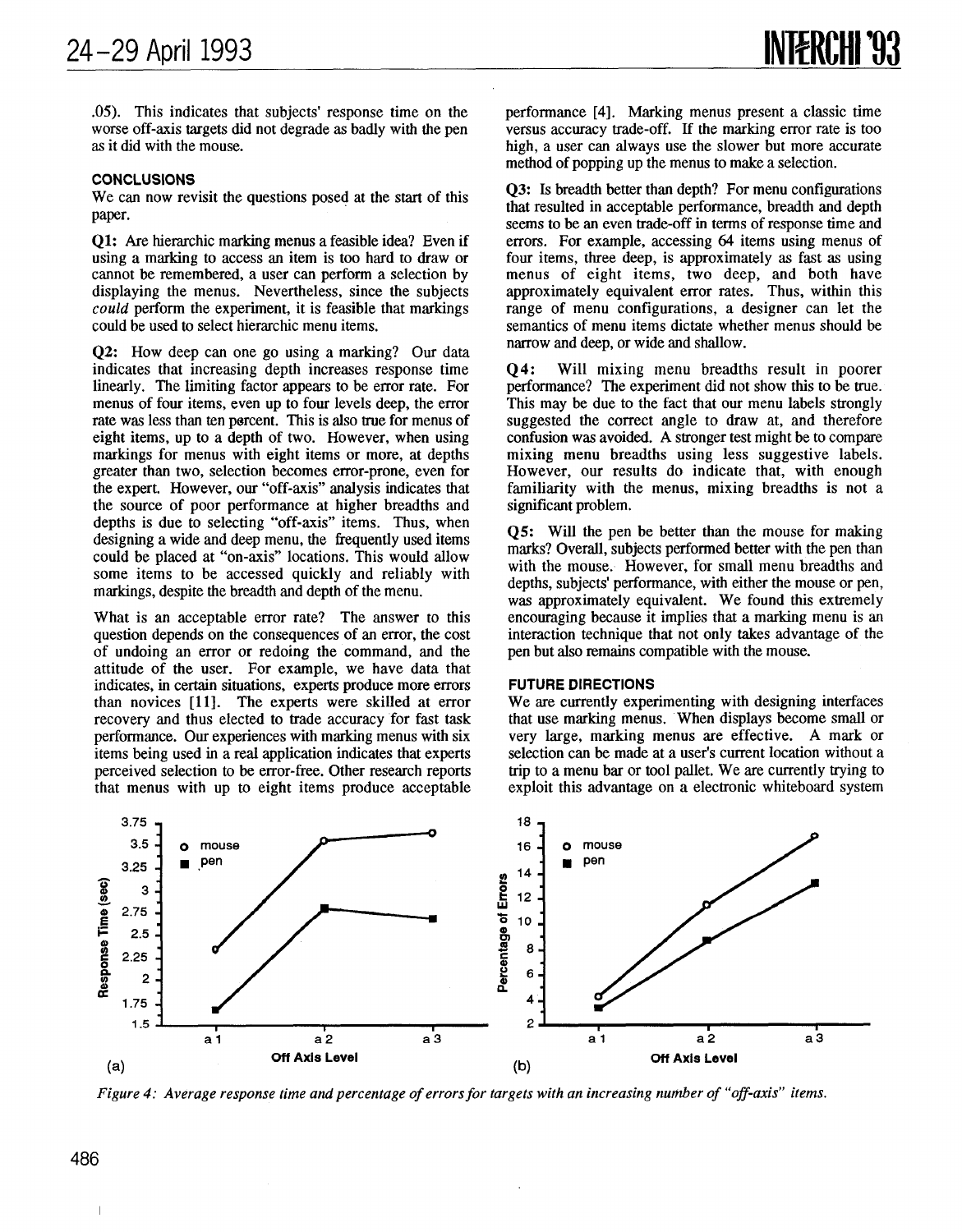.05). This indicates that subjects' response time on the worse off-axis targets did not degrade as badly with the pen as it did with the mouse.

### CONCLUSIONS

We can now revisit the questions posed at the start of this paper.

Ql: Are hierarchic marking menus a feasible idea? Even if using a marking to access an item is too hard to draw or carmot be remembered, a user can perform a selection by displaying the menus. Nevertheless, since the subjects could perform the experiment, it is feasible that markings could be used to select hierarchic menu items.

Q2: How deep can one go using a marking? Our data indicates that increasing depth increases response time linearly. The limiting factor appears to be error rate. For menus of four items, even up to four levels deep, the error rate was less than ten percent. This is also true for menus of eight items, up to a depth of two. However, when using markings for menus with eight items or more, at depths greater than two, selection becomes error-prone, even for the expert. However, our "off-axis" analysis indicates that the source of poor performance at higher breadths and depths is due to selecting "off-axis" items. Thus, when designing a wide and deep menu, the frequently used items could be placed at "on-axis" locations. This would allow some items to be accessed quickly and reliably with markings, despite the breadth and depth of the menu.

What is an acceptable error rate? The answer to this question depends on the consequences of an error, the cost of undoing an error or redoing the command, and the attitude of the user. For example, we have data that indicates, in certain situations, experts produce more errors than novices [11]. The experts were skilled at error recovery and thus elected to trade accuracy for fast task performance. Our experiences with marking menus with six items being used in a real application indicates that experts perceived selection to be error-free. Other research reports that menus with up to eight items produce acceptable performance [4]. Marking menus present a classic time versus accuracy trade-off. If the marking error rate is too high, a user can always use the slower but more accurate method of popping up the menus to make a selection.

Q3: Is breadth better than depth? For menu configurations that resulted in acceptable performance, breadth and depth seems to be an even trade-off in terms of response time and errors. For example, accessing 64 items using menus of four items, three deep, is approximately as fast as using menus of eight items, two deep, and both have approximately equivalent error rates. Thus, within this range of menu configurations, a designer can let the semantics of menu items dictate whether menus should be narrow and deep, or wide and shallow.

Q4: Will mixing menu breadths result in poorer performance? The experiment did not show this to be true. This may be due to the fact that our menu labels strongly suggested the correct angle to draw at, and therefore confusion was avoided. A stronger test might be to compare mixing menu breadths using less suggestive labels. However, our results do indicate that, with enough familiarity with the menus, mixing breadths is not a significant problem.

Q5: Will the pen be better than the mouse for making marks? Overall, subjects performed better with the pen than with the mouse. However, for small menu breadths and depths, subjects' performance, with either the mouse or pen, was approximately equivalent. We found this extremely encouraging because it implies that a marking menu is an interaction technique that not only takes advantage of the pen but also remains compatible with the mouse.

### FUTURE DIRECTIONS

We are currently experimenting with designing interfaces that use marking menus. When displays become small or very large, marking menus are effective. A mark or selection can be made at a user's current location without a trip to a menu bar or tool pallet. We are currently trying to exploit this advantage on a electronic whiteboard system



Figure 4: Average response time and percentage of errors for targets with an increasing number of "off-axis" items.